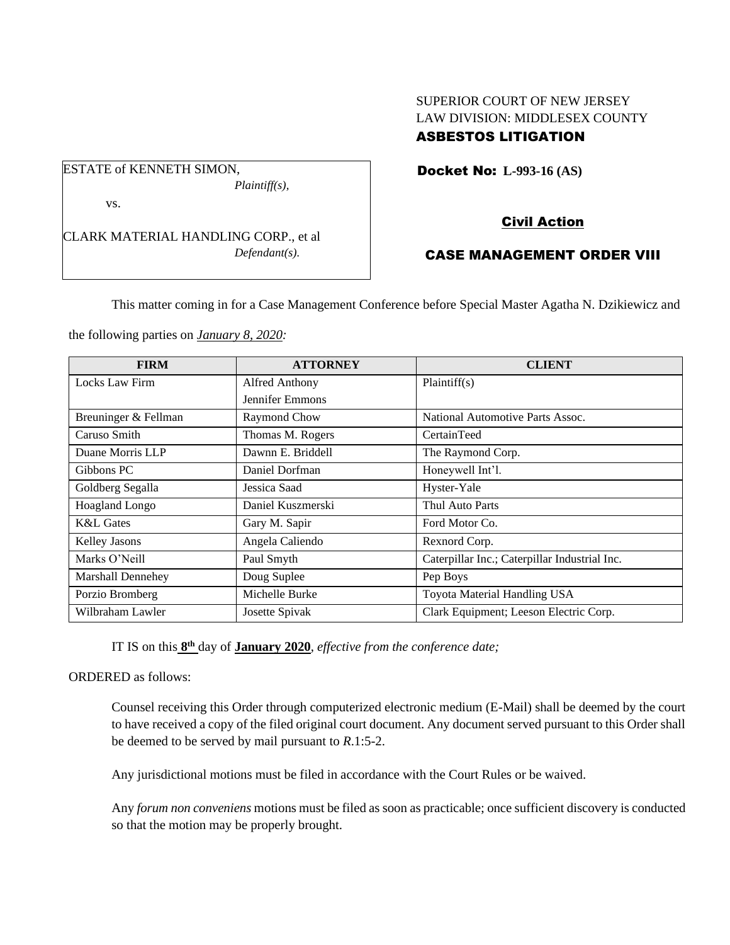## SUPERIOR COURT OF NEW JERSEY LAW DIVISION: MIDDLESEX COUNTY ASBESTOS LITIGATION

Docket No: **L-993-16 (AS)** 

## vs.

ESTATE of KENNETH SIMON,

CLARK MATERIAL HANDLING CORP., et al *Defendant(s).*

*Plaintiff(s),*

# Civil Action

# CASE MANAGEMENT ORDER VIII

This matter coming in for a Case Management Conference before Special Master Agatha N. Dzikiewicz and

the following parties on *January 8, 2020:*

| <b>FIRM</b>              | <b>ATTORNEY</b>       | <b>CLIENT</b>                                 |
|--------------------------|-----------------------|-----------------------------------------------|
| Locks Law Firm           | <b>Alfred Anthony</b> | Plaintiff(s)                                  |
|                          | Jennifer Emmons       |                                               |
| Breuninger & Fellman     | Raymond Chow          | National Automotive Parts Assoc.              |
| Caruso Smith             | Thomas M. Rogers      | CertainTeed                                   |
| Duane Morris LLP         | Dawnn E. Briddell     | The Raymond Corp.                             |
| Gibbons PC               | Daniel Dorfman        | Honeywell Int'l.                              |
| Goldberg Segalla         | Jessica Saad          | Hyster-Yale                                   |
| Hoagland Longo           | Daniel Kuszmerski     | Thul Auto Parts                               |
| <b>K&amp;L</b> Gates     | Gary M. Sapir         | Ford Motor Co.                                |
| Kelley Jasons            | Angela Caliendo       | Rexnord Corp.                                 |
| Marks O'Neill            | Paul Smyth            | Caterpillar Inc.; Caterpillar Industrial Inc. |
| <b>Marshall Dennehey</b> | Doug Suplee           | Pep Boys                                      |
| Porzio Bromberg          | Michelle Burke        | Toyota Material Handling USA                  |
| Wilbraham Lawler         | Josette Spivak        | Clark Equipment; Leeson Electric Corp.        |

IT IS on this  $8<sup>th</sup>$  day of **January 2020**, *effective from the conference date*;

ORDERED as follows:

Counsel receiving this Order through computerized electronic medium (E-Mail) shall be deemed by the court to have received a copy of the filed original court document. Any document served pursuant to this Order shall be deemed to be served by mail pursuant to *R*.1:5-2.

Any jurisdictional motions must be filed in accordance with the Court Rules or be waived.

Any *forum non conveniens* motions must be filed as soon as practicable; once sufficient discovery is conducted so that the motion may be properly brought.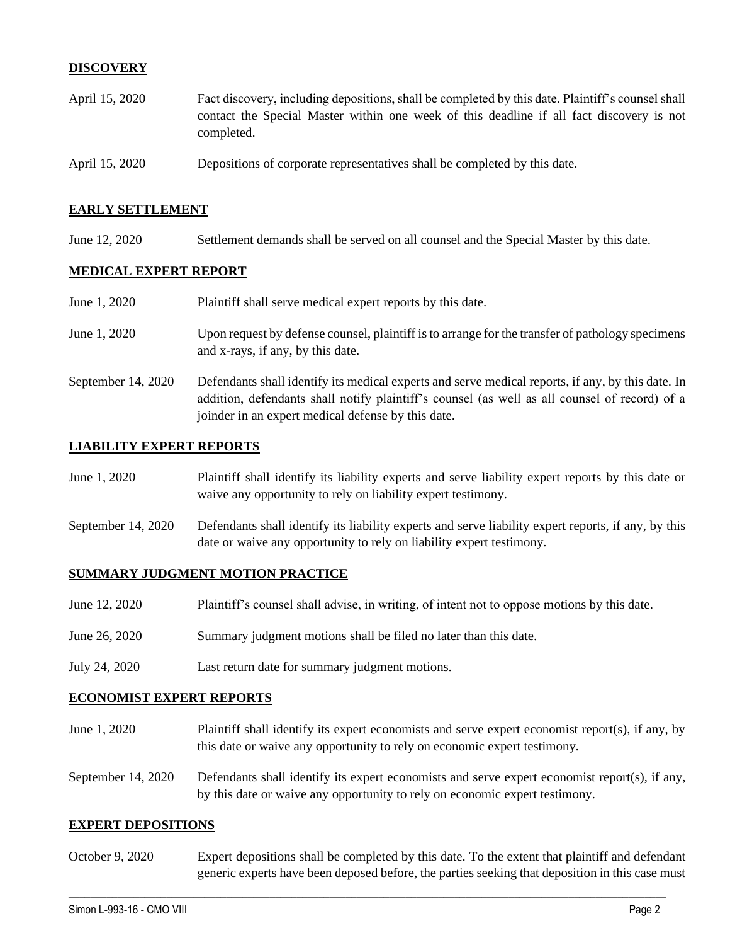## **DISCOVERY**

| April 15, 2020 | Fact discovery, including depositions, shall be completed by this date. Plaintiff's counsel shall      |  |  |
|----------------|--------------------------------------------------------------------------------------------------------|--|--|
|                | contact the Special Master within one week of this deadline if all fact discovery is not<br>completed. |  |  |
| April 15, 2020 | Depositions of corporate representatives shall be completed by this date.                              |  |  |

### **EARLY SETTLEMENT**

June 12, 2020 Settlement demands shall be served on all counsel and the Special Master by this date.

## **MEDICAL EXPERT REPORT**

| June 1, 2020       | Plaintiff shall serve medical expert reports by this date.                                                                                                                                                                                               |
|--------------------|----------------------------------------------------------------------------------------------------------------------------------------------------------------------------------------------------------------------------------------------------------|
| June 1, 2020       | Upon request by defense counsel, plaintiff is to arrange for the transfer of pathology specimens<br>and x-rays, if any, by this date.                                                                                                                    |
| September 14, 2020 | Defendants shall identify its medical experts and serve medical reports, if any, by this date. In<br>addition, defendants shall notify plaintiff's counsel (as well as all counsel of record) of a<br>joinder in an expert medical defense by this date. |

#### **LIABILITY EXPERT REPORTS**

| June 1, 2020       | Plaintiff shall identify its liability experts and serve liability expert reports by this date or<br>waive any opportunity to rely on liability expert testimony.           |
|--------------------|-----------------------------------------------------------------------------------------------------------------------------------------------------------------------------|
| September 14, 2020 | Defendants shall identify its liability experts and serve liability expert reports, if any, by this<br>date or waive any opportunity to rely on liability expert testimony. |

#### **SUMMARY JUDGMENT MOTION PRACTICE**

| June 12, 2020 | Plaintiff's counsel shall advise, in writing, of intent not to oppose motions by this date. |
|---------------|---------------------------------------------------------------------------------------------|
| June 26, 2020 | Summary judgment motions shall be filed no later than this date.                            |
| July 24, 2020 | Last return date for summary judgment motions.                                              |

#### **ECONOMIST EXPERT REPORTS**

- June 1, 2020 Plaintiff shall identify its expert economists and serve expert economist report(s), if any, by this date or waive any opportunity to rely on economic expert testimony.
- September 14, 2020 Defendants shall identify its expert economists and serve expert economist report(s), if any, by this date or waive any opportunity to rely on economic expert testimony.

#### **EXPERT DEPOSITIONS**

October 9, 2020 Expert depositions shall be completed by this date. To the extent that plaintiff and defendant generic experts have been deposed before, the parties seeking that deposition in this case must

 $\_$  , and the set of the set of the set of the set of the set of the set of the set of the set of the set of the set of the set of the set of the set of the set of the set of the set of the set of the set of the set of th